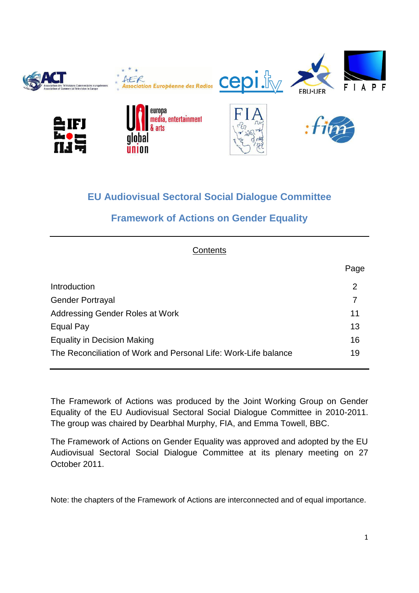

# **EU Audiovisual Sectoral Social Dialogue Committee**

# **Framework of Actions on Gender Equality**

| Contents                                                        |                |
|-----------------------------------------------------------------|----------------|
|                                                                 | Page           |
| Introduction                                                    | $\overline{2}$ |
| <b>Gender Portrayal</b>                                         | 7              |
| Addressing Gender Roles at Work                                 | 11             |
| Equal Pay                                                       | 13             |
| <b>Equality in Decision Making</b>                              | 16             |
| The Reconciliation of Work and Personal Life: Work-Life balance | 19             |

The Framework of Actions was produced by the Joint Working Group on Gender Equality of the EU Audiovisual Sectoral Social Dialogue Committee in 2010-2011. The group was chaired by Dearbhal Murphy, FIA, and Emma Towell, BBC.

The Framework of Actions on Gender Equality was approved and adopted by the EU Audiovisual Sectoral Social Dialogue Committee at its plenary meeting on 27 October 2011.

Note: the chapters of the Framework of Actions are interconnected and of equal importance.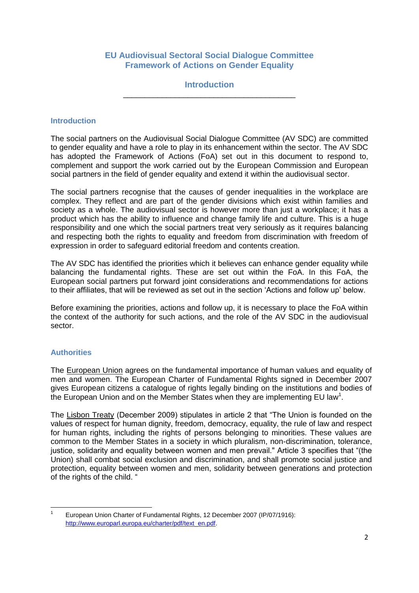## **EU Audiovisual Sectoral Social Dialogue Committee Framework of Actions on Gender Equality**

#### **Introduction** \_\_\_\_\_\_\_\_\_\_\_\_\_\_\_\_\_\_\_\_\_\_\_\_\_\_\_\_\_\_\_\_\_\_\_\_\_\_\_\_

#### **Introduction**

The social partners on the Audiovisual Social Dialogue Committee (AV SDC) are committed to gender equality and have a role to play in its enhancement within the sector. The AV SDC has adopted the Framework of Actions (FoA) set out in this document to respond to, complement and support the work carried out by the European Commission and European social partners in the field of gender equality and extend it within the audiovisual sector.

The social partners recognise that the causes of gender inequalities in the workplace are complex. They reflect and are part of the gender divisions which exist within families and society as a whole. The audiovisual sector is however more than just a workplace; it has a product which has the ability to influence and change family life and culture. This is a huge responsibility and one which the social partners treat very seriously as it requires balancing and respecting both the rights to equality and freedom from discrimination with freedom of expression in order to safeguard editorial freedom and contents creation.

The AV SDC has identified the priorities which it believes can enhance gender equality while balancing the fundamental rights. These are set out within the FoA. In this FoA, the European social partners put forward joint considerations and recommendations for actions to their affiliates, that will be reviewed as set out in the section "Actions and follow up" below.

Before examining the priorities, actions and follow up, it is necessary to place the FoA within the context of the authority for such actions, and the role of the AV SDC in the audiovisual sector.

#### **Authorities**

The European Union agrees on the fundamental importance of human values and equality of men and women. The European Charter of Fundamental Rights signed in December 2007 gives European citizens a catalogue of rights legally binding on the institutions and bodies of the European Union and on the Member States when they are implementing EU law<sup>1</sup>.

The Lisbon Treaty (December 2009) stipulates in article 2 that "The Union is founded on the values of respect for human dignity, freedom, democracy, equality, the rule of law and respect for human rights, including the rights of persons belonging to minorities. These values are common to the Member States in a society in which pluralism, non-discrimination, tolerance, justice, solidarity and equality between women and men prevail." Article 3 specifies that "(the Union) shall combat social exclusion and discrimination, and shall promote social justice and protection, equality between women and men, solidarity between generations and protection of the rights of the child. "

<sup>|&</sup>lt;br>1 European Union Charter of Fundamental Rights, 12 December 2007 (IP/07/1916): [http://www.europarl.europa.eu/charter/pdf/text\\_en.pdf.](http://www.europarl.europa.eu/charter/pdf/text_en.pdf)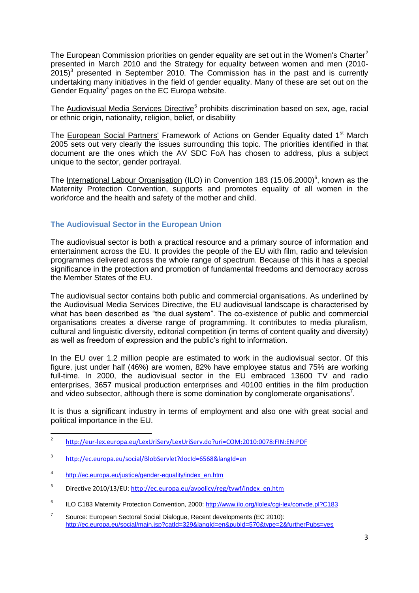The European Commission priorities on gender equality are set out in the Women's Charter<sup>2</sup> presented in March 2010 and the Strategy for equality between women and men (2010-  $2015$ <sup>3</sup> presented in September 2010. The Commission has in the past and is currently undertaking many initiatives in the field of gender equality. Many of these are set out on the Gender Equality $4$  pages on the EC Europa website.

The Audiovisual Media Services Directive<sup>5</sup> prohibits discrimination based on sex, age, racial or ethnic origin, nationality, religion, belief, or disability

The European Social Partners' Framework of Actions on Gender Equality dated 1<sup>st</sup> March 2005 sets out very clearly the issues surrounding this topic. The priorities identified in that document are the ones which the AV SDC FoA has chosen to address, plus a subject unique to the sector, gender portrayal.

The International Labour Organisation (ILO) in Convention 183 (15.06.2000)<sup>6</sup>, known as the Maternity Protection Convention, supports and promotes equality of all women in the workforce and the health and safety of the mother and child.

### **The Audiovisual Sector in the European Union**

The audiovisual sector is both a practical resource and a primary source of information and entertainment across the EU. It provides the people of the EU with film, radio and television programmes delivered across the whole range of spectrum. Because of this it has a special significance in the protection and promotion of fundamental freedoms and democracy across the Member States of the EU.

The audiovisual sector contains both public and commercial organisations. As underlined by the Audiovisual Media Services Directive, the EU audiovisual landscape is characterised by what has been described as "the dual system". The co-existence of public and commercial organisations creates a diverse range of programming. It contributes to media pluralism, cultural and linguistic diversity, editorial competition (in terms of content quality and diversity) as well as freedom of expression and the public's right to information.

In the EU over 1.2 million people are estimated to work in the audiovisual sector. Of this figure, just under half (46%) are women, 82% have employee status and 75% are working full-time. In 2000, the audiovisual sector in the EU embraced 13600 TV and radio enterprises, 3657 musical production enterprises and 40100 entities in the film production and video subsector, although there is some domination by conglomerate organisations<sup>7</sup>.

It is thus a significant industry in terms of employment and also one with great social and political importance in the EU.

 $\frac{1}{2}$ <http://eur-lex.europa.eu/LexUriServ/LexUriServ.do?uri=COM:2010:0078:FIN:EN:PDF>

<sup>3</sup> <http://ec.europa.eu/social/BlobServlet?docId=6568&langId=en>

<sup>4</sup> [http://ec.europa.eu/justice/gender-equality/index\\_en.htm](http://ec.europa.eu/justice/gender-equality/index_en.htm)

<sup>5</sup> Directive 2010/13/EU: [http://ec.europa.eu/avpolicy/reg/tvwf/index\\_en.htm](http://ec.europa.eu/avpolicy/reg/tvwf/index_en.htm)

<sup>6</sup> ILO C183 Maternity Protection Convention, 2000:<http://www.ilo.org/ilolex/cgi-lex/convde.pl?C183>

<sup>7</sup> Source: European Sectoral Social Dialogue, Recent developments (EC 2010): <http://ec.europa.eu/social/main.jsp?catId=329&langId=en&pubId=570&type=2&furtherPubs=yes>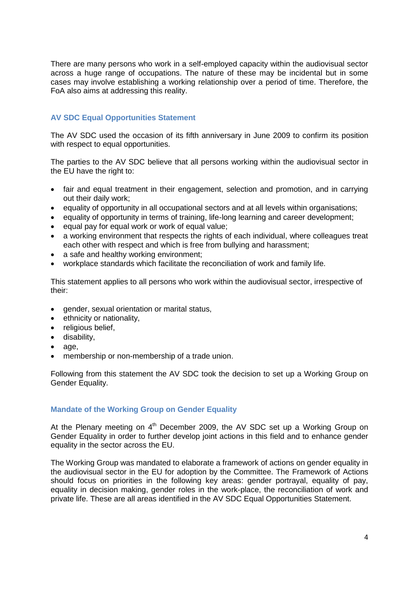There are many persons who work in a self-employed capacity within the audiovisual sector across a huge range of occupations. The nature of these may be incidental but in some cases may involve establishing a working relationship over a period of time. Therefore, the FoA also aims at addressing this reality.

## **AV SDC Equal Opportunities Statement**

The AV SDC used the occasion of its fifth anniversary in June 2009 to confirm its position with respect to equal opportunities.

The parties to the AV SDC believe that all persons working within the audiovisual sector in the EU have the right to:

- fair and equal treatment in their engagement, selection and promotion, and in carrying out their daily work;
- equality of opportunity in all occupational sectors and at all levels within organisations;
- equality of opportunity in terms of training, life-long learning and career development;
- $\bullet$  equal pay for equal work or work of equal value;
- a working environment that respects the rights of each individual, where colleagues treat each other with respect and which is free from bullying and harassment;
- a safe and healthy working environment;
- workplace standards which facilitate the reconciliation of work and family life.

This statement applies to all persons who work within the audiovisual sector, irrespective of their:

- gender, sexual orientation or marital status,
- ethnicity or nationality,
- religious belief,
- disability,
- $\bullet$  age.
- membership or non-membership of a trade union.

Following from this statement the AV SDC took the decision to set up a Working Group on Gender Equality.

#### **Mandate of the Working Group on Gender Equality**

At the Plenary meeting on  $4<sup>th</sup>$  December 2009, the AV SDC set up a Working Group on Gender Equality in order to further develop joint actions in this field and to enhance gender equality in the sector across the EU.

The Working Group was mandated to elaborate a framework of actions on gender equality in the audiovisual sector in the EU for adoption by the Committee. The Framework of Actions should focus on priorities in the following key areas: gender portrayal, equality of pay, equality in decision making, gender roles in the work-place, the reconciliation of work and private life. These are all areas identified in the AV SDC Equal Opportunities Statement.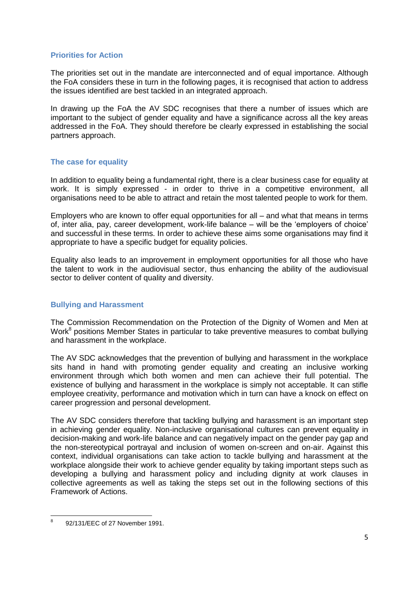#### **Priorities for Action**

The priorities set out in the mandate are interconnected and of equal importance. Although the FoA considers these in turn in the following pages, it is recognised that action to address the issues identified are best tackled in an integrated approach.

In drawing up the FoA the AV SDC recognises that there a number of issues which are important to the subject of gender equality and have a significance across all the key areas addressed in the FoA. They should therefore be clearly expressed in establishing the social partners approach.

#### **The case for equality**

In addition to equality being a fundamental right, there is a clear business case for equality at work. It is simply expressed - in order to thrive in a competitive environment, all organisations need to be able to attract and retain the most talented people to work for them.

Employers who are known to offer equal opportunities for all – and what that means in terms of, inter alia, pay, career development, work-life balance – will be the "employers of choice" and successful in these terms. In order to achieve these aims some organisations may find it appropriate to have a specific budget for equality policies.

Equality also leads to an improvement in employment opportunities for all those who have the talent to work in the audiovisual sector, thus enhancing the ability of the audiovisual sector to deliver content of quality and diversity.

#### **Bullying and Harassment**

The Commission Recommendation on the Protection of the Dignity of Women and Men at Work<sup>8</sup> positions Member States in particular to take preventive measures to combat bullying and harassment in the workplace.

The AV SDC acknowledges that the prevention of bullying and harassment in the workplace sits hand in hand with promoting gender equality and creating an inclusive working environment through which both women and men can achieve their full potential. The existence of bullying and harassment in the workplace is simply not acceptable. It can stifle employee creativity, performance and motivation which in turn can have a knock on effect on career progression and personal development.

The AV SDC considers therefore that tackling bullying and harassment is an important step in achieving gender equality. Non-inclusive organisational cultures can prevent equality in decision-making and work-life balance and can negatively impact on the gender pay gap and the non-stereotypical portrayal and inclusion of women on-screen and on-air. Against this context, individual organisations can take action to tackle bullying and harassment at the workplace alongside their work to achieve gender equality by taking important steps such as developing a bullying and harassment policy and including dignity at work clauses in collective agreements as well as taking the steps set out in the following sections of this Framework of Actions.

<sup>-&</sup>lt;br>8 92/131/EEC of 27 November 1991.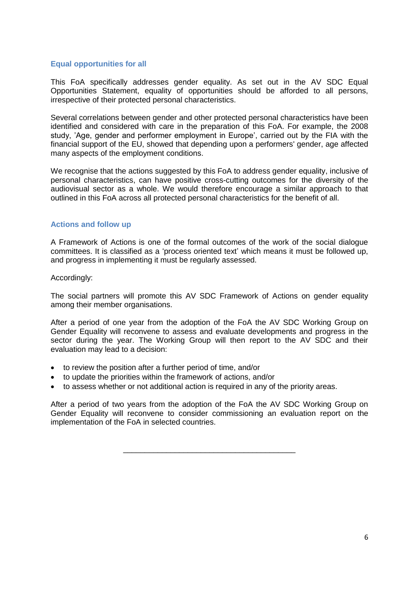#### **Equal opportunities for all**

This FoA specifically addresses gender equality. As set out in the AV SDC Equal Opportunities Statement, equality of opportunities should be afforded to all persons, irrespective of their protected personal characteristics.

Several correlations between gender and other protected personal characteristics have been identified and considered with care in the preparation of this FoA. For example, the 2008 study, 'Age, gender and performer employment in Europe', carried out by the FIA with the financial support of the EU, showed that depending upon a performers' gender, age affected many aspects of the employment conditions.

We recognise that the actions suggested by this FoA to address gender equality, inclusive of personal characteristics, can have positive cross-cutting outcomes for the diversity of the audiovisual sector as a whole. We would therefore encourage a similar approach to that outlined in this FoA across all protected personal characteristics for the benefit of all.

#### **Actions and follow up**

A Framework of Actions is one of the formal outcomes of the work of the social dialogue committees. It is classified as a "process oriented text" which means it must be followed up, and progress in implementing it must be regularly assessed.

#### Accordingly:

The social partners will promote this AV SDC Framework of Actions on gender equality among their member organisations.

After a period of one year from the adoption of the FoA the AV SDC Working Group on Gender Equality will reconvene to assess and evaluate developments and progress in the sector during the year. The Working Group will then report to the AV SDC and their evaluation may lead to a decision:

- to review the position after a further period of time, and/or
- to update the priorities within the framework of actions, and/or
- to assess whether or not additional action is required in any of the priority areas.

After a period of two years from the adoption of the FoA the AV SDC Working Group on Gender Equality will reconvene to consider commissioning an evaluation report on the implementation of the FoA in selected countries.

\_\_\_\_\_\_\_\_\_\_\_\_\_\_\_\_\_\_\_\_\_\_\_\_\_\_\_\_\_\_\_\_\_\_\_\_\_\_\_\_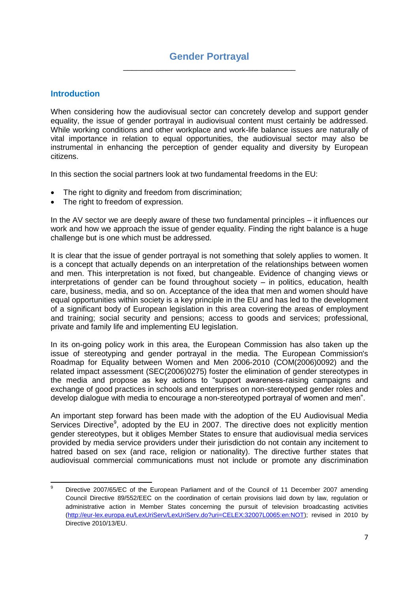### **Introduction**

When considering how the audiovisual sector can concretely develop and support gender equality, the issue of gender portrayal in audiovisual content must certainly be addressed. While working conditions and other workplace and work-life balance issues are naturally of vital importance in relation to equal opportunities, the audiovisual sector may also be instrumental in enhancing the perception of gender equality and diversity by European citizens.

In this section the social partners look at two fundamental freedoms in the EU:

- The right to dignity and freedom from discrimination;
- The right to freedom of expression.

In the AV sector we are deeply aware of these two fundamental principles – it influences our work and how we approach the issue of gender equality. Finding the right balance is a huge challenge but is one which must be addressed.

It is clear that the issue of gender portrayal is not something that solely applies to women. It is a concept that actually depends on an interpretation of the relationships between women and men. This interpretation is not fixed, but changeable. Evidence of changing views or interpretations of gender can be found throughout society – in politics, education, health care, business, media, and so on. Acceptance of the idea that men and women should have equal opportunities within society is a key principle in the EU and has led to the development of a significant body of European legislation in this area covering the areas of employment and training; social security and pensions; access to goods and services; professional, private and family life and implementing EU legislation.

In its on-going policy work in this area, the European Commission has also taken up the issue of stereotyping and gender portrayal in the media. The European Commission's Roadmap for Equality between Women and Men 2006-2010 [\(COM\(2006\)0092\)](http://ec.europa.eu/prelex/liste_resultats.cfm?CL=en&ReqId=0&DocType=COM&DocYear=2006&DocNum=0092) and the related impact assessment (SEC(2006)0275) foster the elimination of gender stereotypes in the media and propose as key actions to "support awareness-raising campaigns and exchange of good practices in schools and enterprises on non-stereotyped gender roles and develop dialogue with media to encourage a non-stereotyped portrayal of women and men".

An important step forward has been made with the adoption of the EU Audiovisual Media Services Directive<sup>9</sup>, adopted by the EU in 2007. The directive does not explicitly mention gender stereotypes, but it obliges Member States to ensure that audiovisual media services provided by media service providers under their jurisdiction do not contain any incitement to hatred based on sex (and race, religion or nationality). The directive further states that audiovisual commercial communications must not include or promote any discrimination

 $\circ$ Directive 2007/65/EC of the European Parliament and of the Council of 11 December 2007 amending Council Directive 89/552/EEC on the coordination of certain provisions laid down by law, regulation or administrative action in Member States concerning the pursuit of television broadcasting activities [\(http://eur-lex.europa.eu/LexUriServ/LexUriServ.do?uri=CELEX:32007L0065:en:NOT\)](http://eur-lex.europa.eu/LexUriServ/LexUriServ.do?uri=CELEX:32007L0065:en:NOT); revised in 2010 by Directive 2010/13/EU.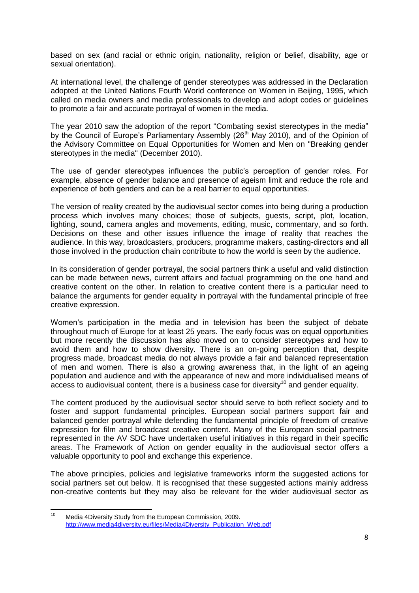based on sex (and racial or ethnic origin, nationality, religion or belief, disability, age or sexual orientation).

At international level, the challenge of gender stereotypes was addressed in the Declaration adopted at the United Nations Fourth World conference on Women in Beijing, 1995, which called on media owners and media professionals to develop and adopt codes or guidelines to promote a fair and accurate portrayal of women in the media.

The year 2010 saw the adoption of the report "Combating sexist stereotypes in the media" by the Council of Europe's Parliamentary Assembly (26<sup>th</sup> May 2010), and of the Opinion of the Advisory Committee on Equal Opportunities for Women and Men on "Breaking gender stereotypes in the media" (December 2010).

The use of gender stereotypes influences the public's perception of gender roles. For example, absence of gender balance and presence of ageism limit and reduce the role and experience of both genders and can be a real barrier to equal opportunities.

The version of reality created by the audiovisual sector comes into being during a production process which involves many choices; those of subjects, guests, script, plot, location, lighting, sound, camera angles and movements, editing, music, commentary, and so forth. Decisions on these and other issues influence the image of reality that reaches the audience. In this way, broadcasters, producers, programme makers, casting-directors and all those involved in the production chain contribute to how the world is seen by the audience.

In its consideration of gender portrayal, the social partners think a useful and valid distinction can be made between news, current affairs and factual programming on the one hand and creative content on the other. In relation to creative content there is a particular need to balance the arguments for gender equality in portrayal with the fundamental principle of free creative expression.

Women"s participation in the media and in television has been the subject of debate throughout much of Europe for at least 25 years. The early focus was on equal opportunities but more recently the discussion has also moved on to consider stereotypes and how to avoid them and how to show diversity. There is an on-going perception that, despite progress made, broadcast media do not always provide a fair and balanced representation of men and women. There is also a growing awareness that, in the light of an ageing population and audience and with the appearance of new and more individualised means of  $\frac{1}{2}$  access to audiovisual content, there is a business case for diversity<sup>10</sup> and gender equality.

The content produced by the audiovisual sector should serve to both reflect society and to foster and support fundamental principles. European social partners support fair and balanced gender portrayal while defending the fundamental principle of freedom of creative expression for film and broadcast creative content. Many of the European social partners represented in the AV SDC have undertaken useful initiatives in this regard in their specific areas. The Framework of Action on gender equality in the audiovisual sector offers a valuable opportunity to pool and exchange this experience.

The above principles, policies and legislative frameworks inform the suggested actions for social partners set out below. It is recognised that these suggested actions mainly address non-creative contents but they may also be relevant for the wider audiovisual sector as

 $10<sup>1</sup>$ Media 4Diversity Study from the European Commission, 2009. [http://www.media4diversity.eu/files/Media4Diversity\\_Publication\\_Web.pdf](http://www.media4diversity.eu/files/Media4Diversity_Publication_Web.pdf)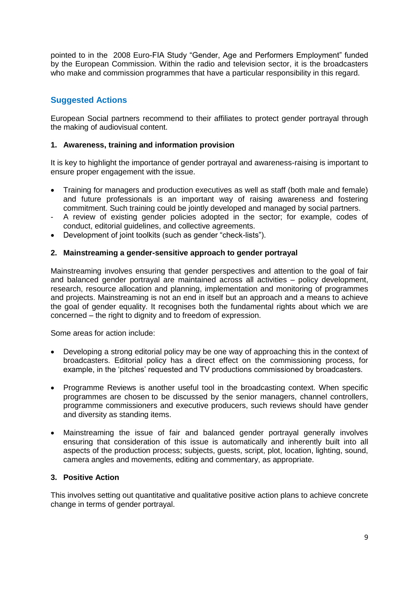pointed to in the 2008 Euro-FIA Study "Gender, Age and Performers Employment" funded by the European Commission. Within the radio and television sector, it is the broadcasters who make and commission programmes that have a particular responsibility in this regard.

# **Suggested Actions**

European Social partners recommend to their affiliates to protect gender portrayal through the making of audiovisual content.

### **1. Awareness, training and information provision**

It is key to highlight the importance of gender portrayal and awareness-raising is important to ensure proper engagement with the issue.

- Training for managers and production executives as well as staff (both male and female) and future professionals is an important way of raising awareness and fostering commitment. Such training could be jointly developed and managed by social partners.
- A review of existing gender policies adopted in the sector; for example, codes of conduct, editorial guidelines, and collective agreements.
- Development of joint toolkits (such as gender "check-lists").

### **2. Mainstreaming a gender-sensitive approach to gender portrayal**

Mainstreaming involves ensuring that gender perspectives and attention to the goal of fair and balanced gender portrayal are maintained across all activities – policy development, research, resource allocation and planning, implementation and monitoring of programmes and projects. Mainstreaming is not an end in itself but an approach and a means to achieve the goal of gender equality. It recognises both the fundamental rights about which we are concerned – the right to dignity and to freedom of expression.

Some areas for action include:

- Developing a strong editorial policy may be one way of approaching this in the context of broadcasters. Editorial policy has a direct effect on the commissioning process, for example, in the "pitches" requested and TV productions commissioned by broadcasters.
- Programme Reviews is another useful tool in the broadcasting context. When specific programmes are chosen to be discussed by the senior managers, channel controllers, programme commissioners and executive producers, such reviews should have gender and diversity as standing items.
- Mainstreaming the issue of fair and balanced gender portrayal generally involves ensuring that consideration of this issue is automatically and inherently built into all aspects of the production process; subjects, guests, script, plot, location, lighting, sound, camera angles and movements, editing and commentary, as appropriate.

### **3. Positive Action**

This involves setting out quantitative and qualitative positive action plans to achieve concrete change in terms of gender portrayal.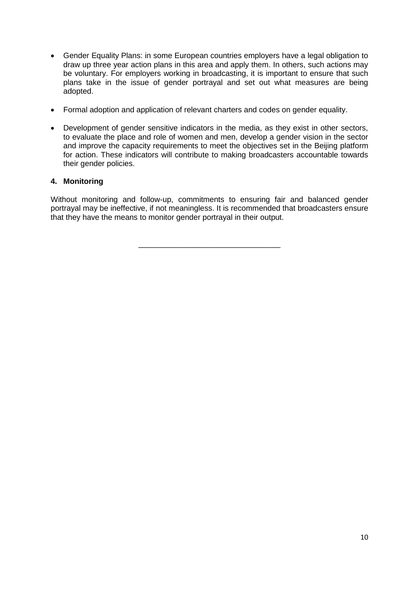- Gender Equality Plans: in some European countries employers have a legal obligation to draw up three year action plans in this area and apply them. In others, such actions may be voluntary. For employers working in broadcasting, it is important to ensure that such plans take in the issue of gender portrayal and set out what measures are being adopted.
- Formal adoption and application of relevant charters and codes on gender equality.
- Development of gender sensitive indicators in the media, as they exist in other sectors, to evaluate the place and role of women and men, develop a gender vision in the sector and improve the capacity requirements to meet the objectives set in the Beijing platform for action. These indicators will contribute to making broadcasters accountable towards their gender policies.

# **4. Monitoring**

Without monitoring and follow-up, commitments to ensuring fair and balanced gender portrayal may be ineffective, if not meaningless. It is recommended that broadcasters ensure that they have the means to monitor gender portrayal in their output.

\_\_\_\_\_\_\_\_\_\_\_\_\_\_\_\_\_\_\_\_\_\_\_\_\_\_\_\_\_\_\_\_\_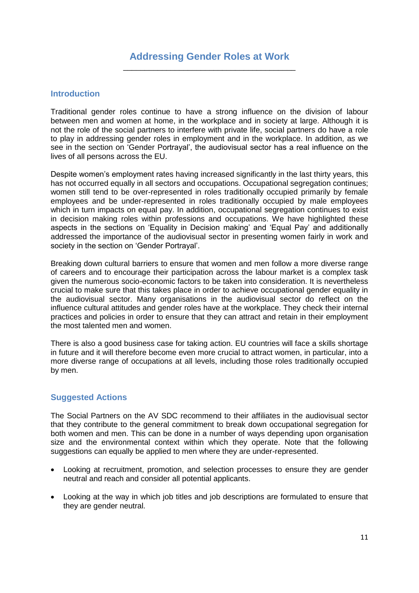### **Introduction**

Traditional gender roles continue to have a strong influence on the division of labour between men and women at home, in the workplace and in society at large. Although it is not the role of the social partners to interfere with private life, social partners do have a role to play in addressing gender roles in employment and in the workplace. In addition, as we see in the section on "Gender Portrayal", the audiovisual sector has a real influence on the lives of all persons across the EU.

Despite women's employment rates having increased significantly in the last thirty years, this has not occurred equally in all sectors and occupations. Occupational segregation continues; women still tend to be over-represented in roles traditionally occupied primarily by female employees and be under-represented in roles traditionally occupied by male employees which in turn impacts on equal pay. In addition, occupational segregation continues to exist in decision making roles within professions and occupations. We have highlighted these aspects in the sections on "Equality in Decision making" and "Equal Pay" and additionally addressed the importance of the audiovisual sector in presenting women fairly in work and society in the section on "Gender Portrayal".

Breaking down cultural barriers to ensure that women and men follow a more diverse range of careers and to encourage their participation across the labour market is a complex task given the numerous socio-economic factors to be taken into consideration. It is nevertheless crucial to make sure that this takes place in order to achieve occupational gender equality in the audiovisual sector. Many organisations in the audiovisual sector do reflect on the influence cultural attitudes and gender roles have at the workplace. They check their internal practices and policies in order to ensure that they can attract and retain in their employment the most talented men and women.

There is also a good business case for taking action. EU countries will face a skills shortage in future and it will therefore become even more crucial to attract women, in particular, into a more diverse range of occupations at all levels, including those roles traditionally occupied by men.

# **Suggested Actions**

The Social Partners on the AV SDC recommend to their affiliates in the audiovisual sector that they contribute to the general commitment to break down occupational segregation for both women and men. This can be done in a number of ways depending upon organisation size and the environmental context within which they operate. Note that the following suggestions can equally be applied to men where they are under-represented.

- Looking at recruitment, promotion, and selection processes to ensure they are gender neutral and reach and consider all potential applicants.
- Looking at the way in which job titles and job descriptions are formulated to ensure that they are gender neutral.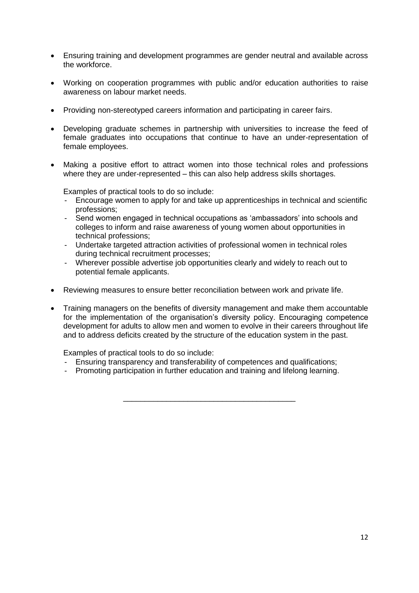- Ensuring training and development programmes are gender neutral and available across the workforce.
- Working on cooperation programmes with public and/or education authorities to raise awareness on labour market needs.
- Providing non-stereotyped careers information and participating in career fairs.
- Developing graduate schemes in partnership with universities to increase the feed of female graduates into occupations that continue to have an under-representation of female employees.
- Making a positive effort to attract women into those technical roles and professions where they are under-represented – this can also help address skills shortages.

Examples of practical tools to do so include:

- Encourage women to apply for and take up apprenticeships in technical and scientific professions;
- Send women engaged in technical occupations as 'ambassadors' into schools and colleges to inform and raise awareness of young women about opportunities in technical professions;
- Undertake targeted attraction activities of professional women in technical roles during technical recruitment processes;
- Wherever possible advertise job opportunities clearly and widely to reach out to potential female applicants.
- Reviewing measures to ensure better reconciliation between work and private life.
- Training managers on the benefits of diversity management and make them accountable for the implementation of the organisation's diversity policy. Encouraging competence development for adults to allow men and women to evolve in their careers throughout life and to address deficits created by the structure of the education system in the past.

Examples of practical tools to do so include:

- Ensuring transparency and transferability of competences and qualifications;
- Promoting participation in further education and training and lifelong learning.

\_\_\_\_\_\_\_\_\_\_\_\_\_\_\_\_\_\_\_\_\_\_\_\_\_\_\_\_\_\_\_\_\_\_\_\_\_\_\_\_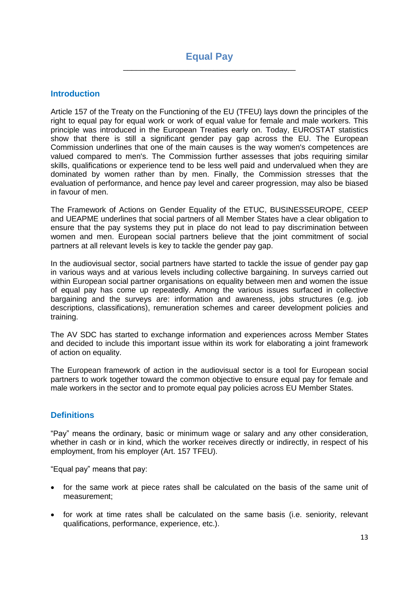### **Introduction**

Article 157 of the Treaty on the Functioning of the EU (TFEU) lays down the principles of the right to equal pay for equal work or work of equal value for female and male workers. This principle was introduced in the European Treaties early on. Today, EUROSTAT statistics show that there is still a significant gender pay gap across the EU. The European Commission underlines that one of the main causes is the way women's competences are valued compared to men's. The Commission further assesses that jobs requiring similar skills, qualifications or experience tend to be less well paid and undervalued when they are dominated by women rather than by men. Finally, the Commission stresses that the evaluation of performance, and hence pay level and career progression, may also be biased in favour of men.

The Framework of Actions on Gender Equality of the ETUC, BUSINESSEUROPE, CEEP and UEAPME underlines that social partners of all Member States have a clear obligation to ensure that the pay systems they put in place do not lead to pay discrimination between women and men. European social partners believe that the joint commitment of social partners at all relevant levels is key to tackle the gender pay gap.

In the audiovisual sector, social partners have started to tackle the issue of gender pay gap in various ways and at various levels including collective bargaining. In surveys carried out within European social partner organisations on equality between men and women the issue of equal pay has come up repeatedly. Among the various issues surfaced in collective bargaining and the surveys are: information and awareness, jobs structures (e.g. job descriptions, classifications), remuneration schemes and career development policies and training.

The AV SDC has started to exchange information and experiences across Member States and decided to include this important issue within its work for elaborating a joint framework of action on equality.

The European framework of action in the audiovisual sector is a tool for European social partners to work together toward the common objective to ensure equal pay for female and male workers in the sector and to promote equal pay policies across EU Member States.

# **Definitions**

"Pay" means the ordinary, basic or minimum wage or salary and any other consideration, whether in cash or in kind, which the worker receives directly or indirectly, in respect of his employment, from his employer (Art. 157 TFEU).

"Equal pay" means that pay:

- for the same work at piece rates shall be calculated on the basis of the same unit of measurement;
- for work at time rates shall be calculated on the same basis (i.e. seniority, relevant qualifications, performance, experience, etc.).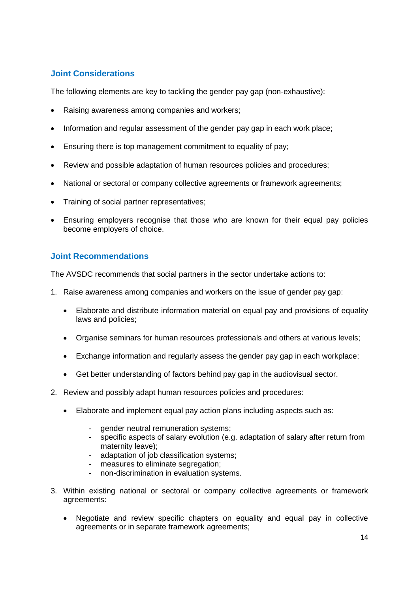# **Joint Considerations**

The following elements are key to tackling the gender pay gap (non-exhaustive):

- Raising awareness among companies and workers;
- Information and regular assessment of the gender pay gap in each work place;
- Ensuring there is top management commitment to equality of pay;
- Review and possible adaptation of human resources policies and procedures;
- National or sectoral or company collective agreements or framework agreements;
- Training of social partner representatives;
- Ensuring employers recognise that those who are known for their equal pay policies become employers of choice.

### **Joint Recommendations**

The AVSDC recommends that social partners in the sector undertake actions to:

- 1. Raise awareness among companies and workers on the issue of gender pay gap:
	- Elaborate and distribute information material on equal pay and provisions of equality laws and policies;
	- Organise seminars for human resources professionals and others at various levels;
	- Exchange information and regularly assess the gender pay gap in each workplace;
	- Get better understanding of factors behind pay gap in the audiovisual sector.
- 2. Review and possibly adapt human resources policies and procedures:
	- Elaborate and implement equal pay action plans including aspects such as:
		- aender neutral remuneration systems:
		- specific aspects of salary evolution (e.g. adaptation of salary after return from maternity leave);
		- adaptation of job classification systems;
		- measures to eliminate segregation;
		- non-discrimination in evaluation systems.
- 3. Within existing national or sectoral or company collective agreements or framework agreements:
	- Negotiate and review specific chapters on equality and equal pay in collective agreements or in separate framework agreements;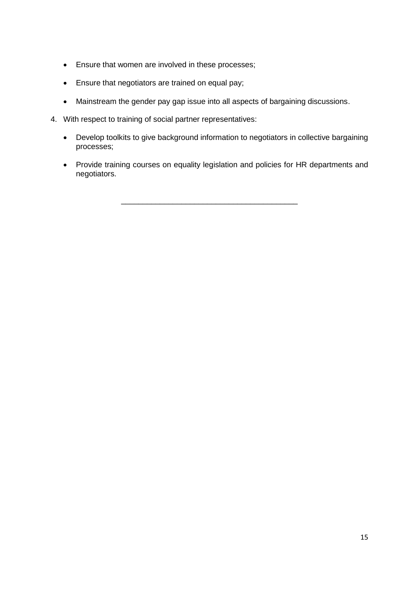- Ensure that women are involved in these processes;
- Ensure that negotiators are trained on equal pay;
- Mainstream the gender pay gap issue into all aspects of bargaining discussions.
- 4. With respect to training of social partner representatives:
	- Develop toolkits to give background information to negotiators in collective bargaining processes;
	- Provide training courses on equality legislation and policies for HR departments and negotiators.

\_\_\_\_\_\_\_\_\_\_\_\_\_\_\_\_\_\_\_\_\_\_\_\_\_\_\_\_\_\_\_\_\_\_\_\_\_\_\_\_\_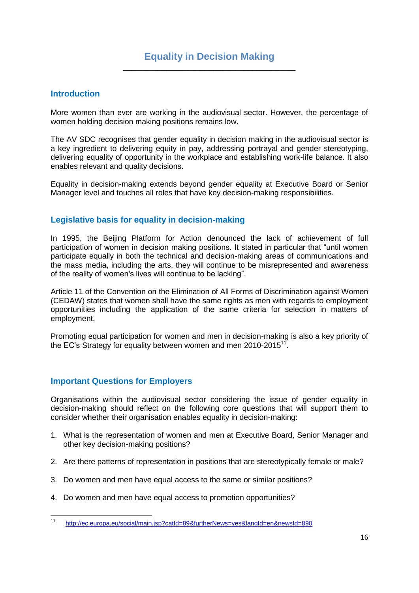# **Equality in Decision Making** \_\_\_\_\_\_\_\_\_\_\_\_\_\_\_\_\_\_\_\_\_\_\_\_\_\_\_\_\_\_\_\_\_\_\_\_\_\_\_\_

#### **Introduction**

More women than ever are working in the audiovisual sector. However, the percentage of women holding decision making positions remains low.

The AV SDC recognises that gender equality in decision making in the audiovisual sector is a key ingredient to delivering equity in pay, addressing portrayal and gender stereotyping, delivering equality of opportunity in the workplace and establishing work-life balance. It also enables relevant and quality decisions.

Equality in decision-making extends beyond gender equality at Executive Board or Senior Manager level and touches all roles that have key decision-making responsibilities.

### **Legislative basis for equality in decision-making**

In 1995, the Beijing Platform for Action denounced the lack of achievement of full participation of women in decision making positions. It stated in particular that "until women participate equally in both the technical and decision-making areas of communications and the mass media, including the arts, they will continue to be misrepresented and awareness of the reality of women's lives will continue to be lacking".

Article 11 of the Convention on the Elimination of All Forms of Discrimination against Women (CEDAW) states that women shall have the same rights as men with regards to employment opportunities including the application of the same criteria for selection in matters of employment.

Promoting equal participation for women and men in decision-making is also a key priority of the EC's Strategy for equality between women and men 2010-2015 $^{17}$ .

#### **Important Questions for Employers**

Organisations within the audiovisual sector considering the issue of gender equality in decision-making should reflect on the following core questions that will support them to consider whether their organisation enables equality in decision-making:

- 1. What is the representation of women and men at Executive Board, Senior Manager and other key decision-making positions?
- 2. Are there patterns of representation in positions that are stereotypically female or male?
- 3. Do women and men have equal access to the same or similar positions?
- 4. Do women and men have equal access to promotion opportunities?

 $11$ <sup>11</sup> <http://ec.europa.eu/social/main.jsp?catId=89&furtherNews=yes&langId=en&newsId=890>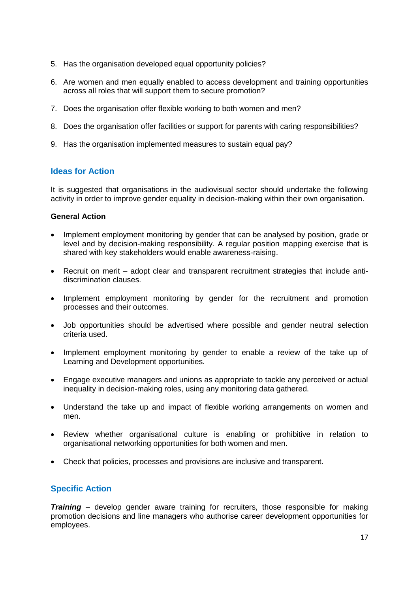- 5. Has the organisation developed equal opportunity policies?
- 6. Are women and men equally enabled to access development and training opportunities across all roles that will support them to secure promotion?
- 7. Does the organisation offer flexible working to both women and men?
- 8. Does the organisation offer facilities or support for parents with caring responsibilities?
- 9. Has the organisation implemented measures to sustain equal pay?

# **Ideas for Action**

It is suggested that organisations in the audiovisual sector should undertake the following activity in order to improve gender equality in decision-making within their own organisation.

# **General Action**

- Implement employment monitoring by gender that can be analysed by position, grade or level and by decision-making responsibility. A regular position mapping exercise that is shared with key stakeholders would enable awareness-raising.
- Recruit on merit adopt clear and transparent recruitment strategies that include antidiscrimination clauses.
- Implement employment monitoring by gender for the recruitment and promotion processes and their outcomes.
- Job opportunities should be advertised where possible and gender neutral selection criteria used.
- Implement employment monitoring by gender to enable a review of the take up of Learning and Development opportunities.
- Engage executive managers and unions as appropriate to tackle any perceived or actual inequality in decision-making roles, using any monitoring data gathered.
- Understand the take up and impact of flexible working arrangements on women and men.
- Review whether organisational culture is enabling or prohibitive in relation to organisational networking opportunities for both women and men.
- Check that policies, processes and provisions are inclusive and transparent.

# **Specific Action**

*Training* – develop gender aware training for recruiters, those responsible for making promotion decisions and line managers who authorise career development opportunities for employees.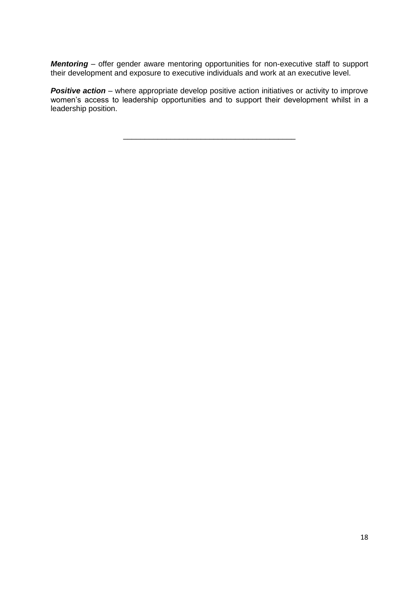*Mentoring* – offer gender aware mentoring opportunities for non-executive staff to support their development and exposure to executive individuals and work at an executive level.

**Positive action** – where appropriate develop positive action initiatives or activity to improve women's access to leadership opportunities and to support their development whilst in a leadership position.

\_\_\_\_\_\_\_\_\_\_\_\_\_\_\_\_\_\_\_\_\_\_\_\_\_\_\_\_\_\_\_\_\_\_\_\_\_\_\_\_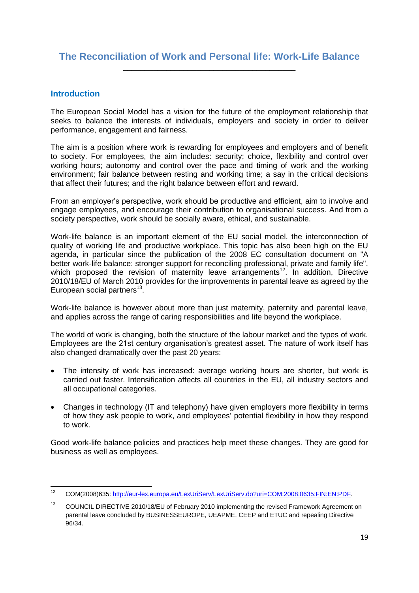# **The Reconciliation of Work and Personal life: Work-Life Balance** \_\_\_\_\_\_\_\_\_\_\_\_\_\_\_\_\_\_\_\_\_\_\_\_\_\_\_\_\_\_\_\_\_\_\_\_\_\_\_\_

### **Introduction**

The European Social Model has a vision for the future of the employment relationship that seeks to balance the interests of individuals, employers and society in order to deliver performance, engagement and fairness.

The aim is a position where work is rewarding for employees and employers and of benefit to society. For employees, the aim includes: security; choice, flexibility and control over working hours; autonomy and control over the pace and timing of work and the working environment; fair balance between resting and working time; a say in the critical decisions that affect their futures; and the right balance between effort and reward.

From an employer"s perspective, work should be productive and efficient, aim to involve and engage employees, and encourage their contribution to organisational success. And from a society perspective, work should be socially aware, ethical, and sustainable.

Work-life balance is an important element of the EU social model, the interconnection of quality of working life and productive workplace. This topic has also been high on the EU agenda, in particular since the publication of the 2008 EC consultation document on "A better work-life balance: stronger support for reconciling professional, private and family life", which proposed the revision of maternity leave arrangements<sup>12</sup>. In addition, Directive 2010/18/EU of March 2010 provides for the improvements in parental leave as agreed by the European social partners $^{13}$ .

Work-life balance is however about more than just maternity, paternity and parental leave, and applies across the range of caring responsibilities and life beyond the workplace.

The world of work is changing, both the structure of the labour market and the types of work. Employees are the 21st century organisation"s greatest asset. The nature of work itself has also changed dramatically over the past 20 years:

- The intensity of work has increased: average working hours are shorter, but work is carried out faster. Intensification affects all countries in the EU, all industry sectors and all occupational categories.
- Changes in technology (IT and telephony) have given employers more flexibility in terms of how they ask people to work, and employees' potential flexibility in how they respond to work.

Good work-life balance policies and practices help meet these changes. They are good for business as well as employees.

 $12$ <sup>12</sup> COM(2008)635: [http://eur-lex.europa.eu/LexUriServ/LexUriServ.do?uri=COM:2008:0635:FIN:EN:PDF.](http://eur-lex.europa.eu/LexUriServ/LexUriServ.do?uri=COM:2008:0635:FIN:EN:PDF)

<sup>&</sup>lt;sup>13</sup> COUNCIL DIRECTIVE 2010/18/EU of February 2010 implementing the revised Framework Agreement on parental leave concluded by BUSINESSEUROPE, UEAPME, CEEP and ETUC and repealing Directive 96/34.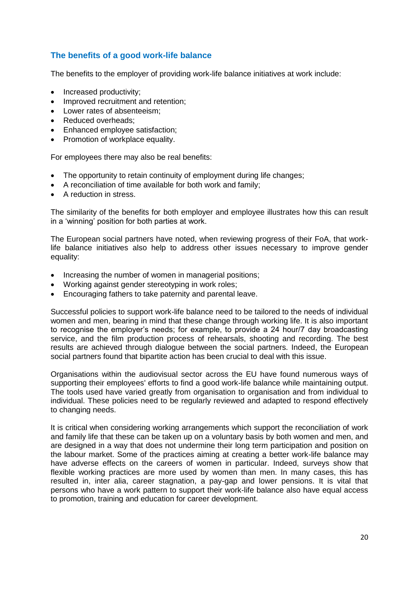# **The benefits of a good work-life balance**

The benefits to the employer of providing work-life balance initiatives at work include:

- Increased productivity;
- Improved recruitment and retention;
- Lower rates of absenteeism:
- Reduced overheads:
- Enhanced employee satisfaction;
- Promotion of workplace equality.

For employees there may also be real benefits:

- The opportunity to retain continuity of employment during life changes;
- A reconciliation of time available for both work and family;
- A reduction in stress.

The similarity of the benefits for both employer and employee illustrates how this can result in a "winning" position for both parties at work.

The European social partners have noted, when reviewing progress of their FoA, that worklife balance initiatives also help to address other issues necessary to improve gender equality:

- Increasing the number of women in managerial positions;
- Working against gender stereotyping in work roles;
- Encouraging fathers to take paternity and parental leave.

Successful policies to support work-life balance need to be tailored to the needs of individual women and men, bearing in mind that these change through working life. It is also important to recognise the employer"s needs; for example, to provide a 24 hour/7 day broadcasting service, and the film production process of rehearsals, shooting and recording. The best results are achieved through dialogue between the social partners. Indeed, the European social partners found that bipartite action has been crucial to deal with this issue.

Organisations within the audiovisual sector across the EU have found numerous ways of supporting their employees' efforts to find a good work-life balance while maintaining output. The tools used have varied greatly from organisation to organisation and from individual to individual. These policies need to be regularly reviewed and adapted to respond effectively to changing needs.

It is critical when considering working arrangements which support the reconciliation of work and family life that these can be taken up on a voluntary basis by both women and men, and are designed in a way that does not undermine their long term participation and position on the labour market. Some of the practices aiming at creating a better work-life balance may have adverse effects on the careers of women in particular. Indeed, surveys show that flexible working practices are more used by women than men. In many cases, this has resulted in, inter alia, career stagnation, a pay-gap and lower pensions. It is vital that persons who have a work pattern to support their work-life balance also have equal access to promotion, training and education for career development.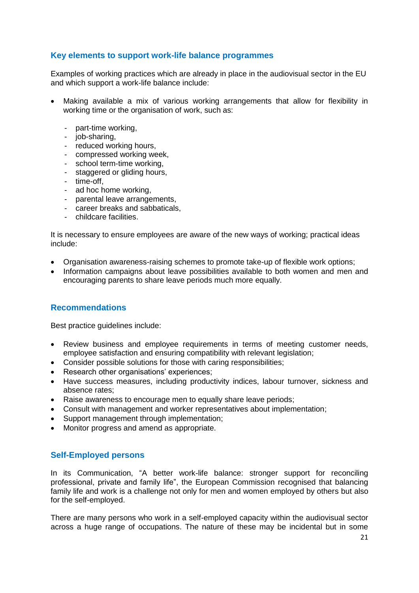## **Key elements to support work-life balance programmes**

Examples of working practices which are already in place in the audiovisual sector in the EU and which support a work-life balance include:

- Making available a mix of various working arrangements that allow for flexibility in working time or the organisation of work, such as:
	- part-time working,
	- job-sharing,
	- reduced working hours,
	- compressed working week,
	- school term-time working,
	- staggered or gliding hours,
	- time-off,
	- ad hoc home working,
	- parental leave arrangements,
	- career breaks and sabbaticals,
	- childcare facilities.

It is necessary to ensure employees are aware of the new ways of working; practical ideas include:

- Organisation awareness-raising schemes to promote take-up of flexible work options;
- Information campaigns about leave possibilities available to both women and men and encouraging parents to share leave periods much more equally.

#### **Recommendations**

Best practice guidelines include:

- Review business and employee requirements in terms of meeting customer needs, employee satisfaction and ensuring compatibility with relevant legislation;
- Consider possible solutions for those with caring responsibilities;
- Research other organisations' experiences;
- Have success measures, including productivity indices, labour turnover, sickness and absence rates;
- Raise awareness to encourage men to equally share leave periods;
- Consult with management and worker representatives about implementation;
- Support management through implementation;
- Monitor progress and amend as appropriate.

#### **Self-Employed persons**

In its Communication, "A better work-life balance: stronger support for reconciling professional, private and family life", the European Commission recognised that balancing family life and work is a challenge not only for men and women employed by others but also for the self-employed.

There are many persons who work in a self-employed capacity within the audiovisual sector across a huge range of occupations. The nature of these may be incidental but in some